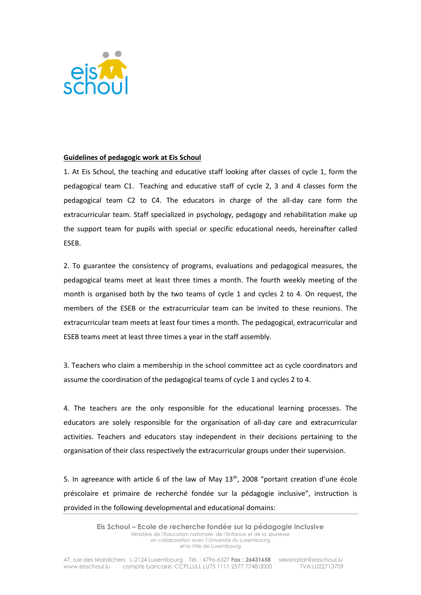

## **Guidelines of pedagogic work at Eis Schoul**

1. At Eis Schoul, the teaching and educative staff looking after classes of cycle 1, form the pedagogical team C1. Teaching and educative staff of cycle 2, 3 and 4 classes form the pedagogical team C2 to C4. The educators in charge of the all-day care form the extracurricular team. Staff specialized in psychology, pedagogy and rehabilitation make up the support team for pupils with special or specific educational needs, hereinafter called ESEB.

2. To guarantee the consistency of programs, evaluations and pedagogical measures, the pedagogical teams meet at least three times a month. The fourth weekly meeting of the month is organised both by the two teams of cycle 1 and cycles 2 to 4. On request, the members of the ESEB or the extracurricular team can be invited to these reunions. The extracurricular team meets at least four times a month. The pedagogical, extracurricular and ESEB teams meet at least three times a year in the staff assembly.

3. Teachers who claim a membership in the school committee act as cycle coordinators and assume the coordination of the pedagogical teams of cycle 1 and cycles 2 to 4.

4. The teachers are the only responsible for the educational learning processes. The educators are solely responsible for the organisation of all-day care and extracurricular activities. Teachers and educators stay independent in their decisions pertaining to the organisation of their class respectively the extracurricular groups under their supervision.

5. In agreeance with article 6 of the law of May 13<sup>th</sup>, 2008 "portant creation d'une école préscolaire et primaire de recherché fondée sur la pédagogie inclusive", instruction is provided in the following developmental and educational domains: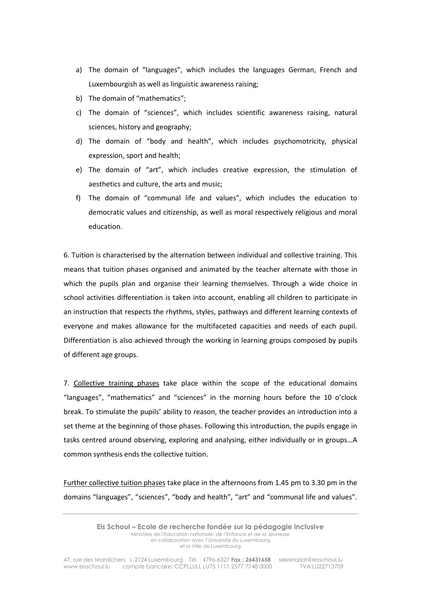- a) The domain of "languages", which includes the languages German, French and Luxembourgish as well as linguistic awareness raising;
- b) The domain of "mathematics";
- c) The domain of "sciences", which includes scientific awareness raising, natural sciences, history and geography;
- d) The domain of "body and health", which includes psychomotricity, physical expression, sport and health;
- e) The domain of "art", which includes creative expression, the stimulation of aesthetics and culture, the arts and music;
- f) The domain of "communal life and values", which includes the education to democratic values and citizenship, as well as moral respectively religious and moral education.

6. Tuition is characterised by the alternation between individual and collective training. This means that tuition phases organised and animated by the teacher alternate with those in which the pupils plan and organise their learning themselves. Through a wide choice in school activities differentiation is taken into account, enabling all children to participate in an instruction that respects the rhythms, styles, pathways and different learning contexts of everyone and makes allowance for the multifaceted capacities and needs of each pupil. Differentiation is also achieved through the working in learning groups composed by pupils of different age groups.

7. Collective training phases take place within the scope of the educational domains "languages", "mathematics" and "sciences" in the morning hours before the 10 o'clock break. To stimulate the pupils' ability to reason, the teacher provides an introduction into a set theme at the beginning of those phases. Following this introduction, the pupils engage in tasks centred around observing, exploring and analysing, either individually or in groups…A common synthesis ends the collective tuition.

Further collective tuition phases take place in the afternoons from 1.45 pm to 3.30 pm in the domains "languages", "sciences", "body and health", "art" and "communal life and values".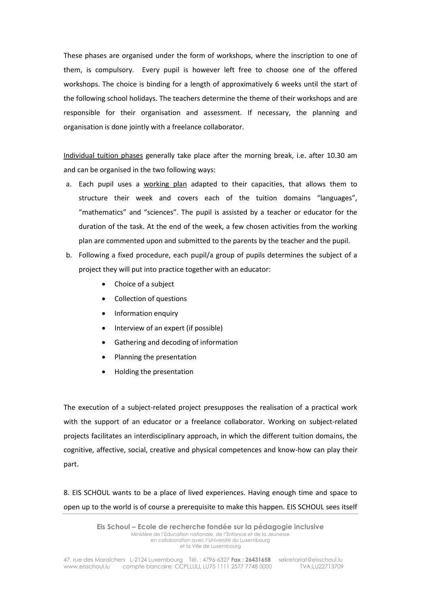These phases are organised under the form of workshops, where the inscription to one of them, is compulsory. Every pupil is however left free to choose one of the offered workshops. The choice is binding for a length of approximatively 6 weeks until the start of the following school holidays. The teachers determine the theme of their workshops and are responsible for their organisation and assessment. If necessary, the planning and organisation is done jointly with a freelance collaborator.

Individual tuition phases generally take place after the morning break, i.e. after 10.30 am and can be organised in the two following ways:

- a. Each pupil uses a working plan adapted to their capacities, that allows them to structure their week and covers each of the tuition domains "languages", "mathematics" and "sciences". The pupil is assisted by a teacher or educator for the duration of the task. At the end of the week, a few chosen activities from the working plan are commented upon and submitted to the parents by the teacher and the pupil.
- b. Following a fixed procedure, each pupil/a group of pupils determines the subject of a project they will put into practice together with an educator:
	- Choice of a subject
	- Collection of questions
	- Information enquiry
	- Interview of an expert (if possible)
	- Gathering and decoding of information
	- Planning the presentation
	- Holding the presentation

The execution of a subject-related project presupposes the realisation of a practical work with the support of an educator or a freelance collaborator. Working on subject-related projects facilitates an interdisciplinary approach, in which the different tuition domains, the cognitive, affective, social, creative and physical competences and know-how can play their part.

8. EIS SCHOUL wants to be a place of lived experiences. Having enough time and space to open up to the world is of course a prerequisite to make this happen. EIS SCHOUL sees itself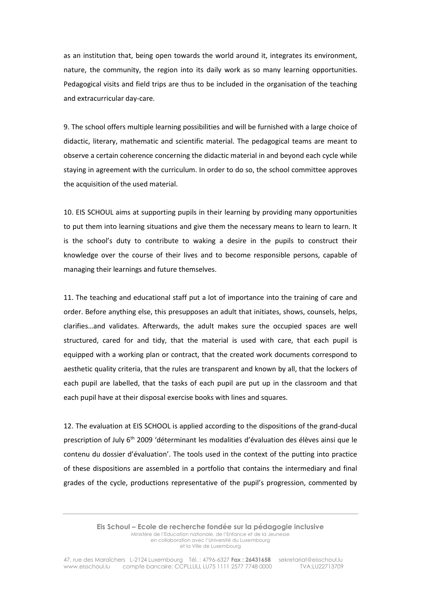as an institution that, being open towards the world around it, integrates its environment, nature, the community, the region into its daily work as so many learning opportunities. Pedagogical visits and field trips are thus to be included in the organisation of the teaching and extracurricular day-care.

9. The school offers multiple learning possibilities and will be furnished with a large choice of didactic, literary, mathematic and scientific material. The pedagogical teams are meant to observe a certain coherence concerning the didactic material in and beyond each cycle while staying in agreement with the curriculum. In order to do so, the school committee approves the acquisition of the used material.

10. EIS SCHOUL aims at supporting pupils in their learning by providing many opportunities to put them into learning situations and give them the necessary means to learn to learn. It is the school's duty to contribute to waking a desire in the pupils to construct their knowledge over the course of their lives and to become responsible persons, capable of managing their learnings and future themselves.

11. The teaching and educational staff put a lot of importance into the training of care and order. Before anything else, this presupposes an adult that initiates, shows, counsels, helps, clarifies…and validates. Afterwards, the adult makes sure the occupied spaces are well structured, cared for and tidy, that the material is used with care, that each pupil is equipped with a working plan or contract, that the created work documents correspond to aesthetic quality criteria, that the rules are transparent and known by all, that the lockers of each pupil are labelled, that the tasks of each pupil are put up in the classroom and that each pupil have at their disposal exercise books with lines and squares.

12. The evaluation at EIS SCHOOL is applied according to the dispositions of the grand-ducal prescription of July 6th 2009 'déterminant les modalities d'évaluation des élèves ainsi que le contenu du dossier d'évaluation'. The tools used in the context of the putting into practice of these dispositions are assembled in a portfolio that contains the intermediary and final grades of the cycle, productions representative of the pupil's progression, commented by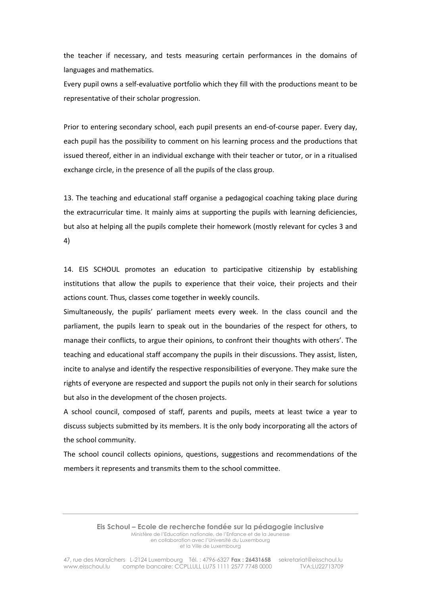the teacher if necessary, and tests measuring certain performances in the domains of languages and mathematics.

Every pupil owns a self-evaluative portfolio which they fill with the productions meant to be representative of their scholar progression.

Prior to entering secondary school, each pupil presents an end-of-course paper. Every day, each pupil has the possibility to comment on his learning process and the productions that issued thereof, either in an individual exchange with their teacher or tutor, or in a ritualised exchange circle, in the presence of all the pupils of the class group.

13. The teaching and educational staff organise a pedagogical coaching taking place during the extracurricular time. It mainly aims at supporting the pupils with learning deficiencies, but also at helping all the pupils complete their homework (mostly relevant for cycles 3 and 4)

14. EIS SCHOUL promotes an education to participative citizenship by establishing institutions that allow the pupils to experience that their voice, their projects and their actions count. Thus, classes come together in weekly councils.

Simultaneously, the pupils' parliament meets every week. In the class council and the parliament, the pupils learn to speak out in the boundaries of the respect for others, to manage their conflicts, to argue their opinions, to confront their thoughts with others'. The teaching and educational staff accompany the pupils in their discussions. They assist, listen, incite to analyse and identify the respective responsibilities of everyone. They make sure the rights of everyone are respected and support the pupils not only in their search for solutions but also in the development of the chosen projects.

A school council, composed of staff, parents and pupils, meets at least twice a year to discuss subjects submitted by its members. It is the only body incorporating all the actors of the school community.

The school council collects opinions, questions, suggestions and recommendations of the members it represents and transmits them to the school committee.

> **Eis Schoul – Ecole de recherche fondée sur la pédagogie inclusive** Ministère de l'Education nationale, de l'Enfance et de la Jeunesse en collaboration avec l'Université du Luxembourg et la Ville de Luxembourg